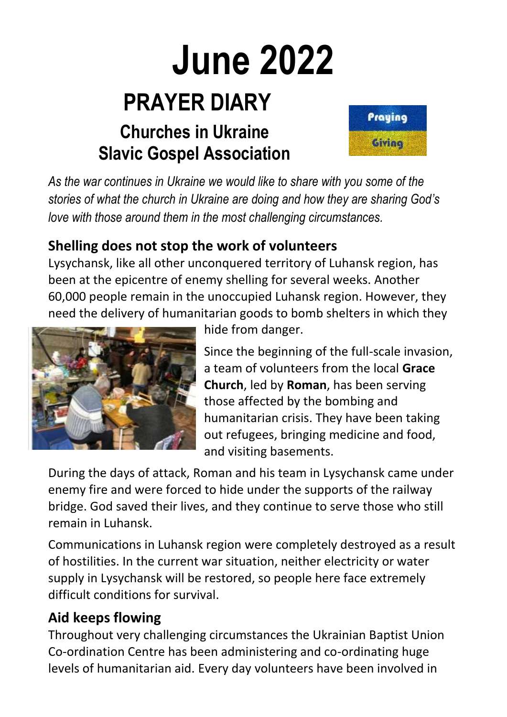# **June 2022 PRAYER DIARY**

## **Churches in Ukraine Slavic Gospel Association**



*As the war continues in Ukraine we would like to share with you some of the stories of what the church in Ukraine are doing and how they are sharing God's love with those around them in the most challenging circumstances.*

#### **Shelling does not stop the work of volunteers**

Lysychansk, like all other unconquered territory of Luhansk region, has been at the epicentre of enemy shelling for several weeks. Another 60,000 people remain in the unoccupied Luhansk region. However, they need the delivery of humanitarian goods to bomb shelters in which they



hide from danger.

Since the beginning of the full-scale invasion, a team of volunteers from the local **Grace Church**, led by **Roman**, has been serving those affected by the bombing and humanitarian crisis. They have been taking out refugees, bringing medicine and food, and visiting basements.

During the days of attack, Roman and his team in Lysychansk came under enemy fire and were forced to hide under the supports of the railway bridge. God saved their lives, and they continue to serve those who still remain in Luhansk.

Communications in Luhansk region were completely destroyed as a result of hostilities. In the current war situation, neither electricity or water supply in Lysychansk will be restored, so people here face extremely difficult conditions for survival.

#### **Aid keeps flowing**

Throughout very challenging circumstances the Ukrainian Baptist Union Co-ordination Centre has been administering and co-ordinating huge levels of humanitarian aid. Every day volunteers have been involved in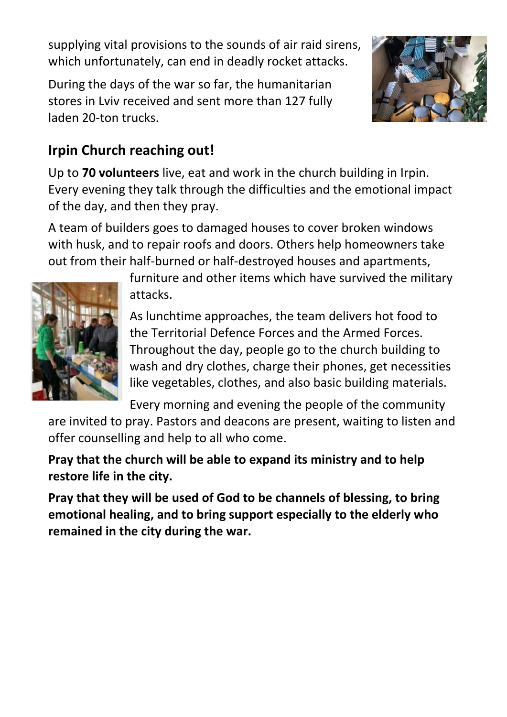supplying vital provisions to the sounds of air raid sirens, which unfortunately, can end in deadly rocket attacks.

During the days of the war so far, the humanitarian stores in Lviv received and sent more than 127 fully laden 20-ton trucks.



#### **Irpin Church reaching out!**

Up to **70 volunteers** live, eat and work in the church building in Irpin. Every evening they talk through the difficulties and the emotional impact of the day, and then they pray.

A team of builders goes to damaged houses to cover broken windows with husk, and to repair roofs and doors. Others help homeowners take out from their half-burned or half-destroyed houses and apartments,



furniture and other items which have survived the military attacks.

As lunchtime approaches, the team delivers hot food to the Territorial Defence Forces and the Armed Forces. Throughout the day, people go to the church building to wash and dry clothes, charge their phones, get necessities like vegetables, clothes, and also basic building materials.

Every morning and evening the people of the community

are invited to pray. Pastors and deacons are present, waiting to listen and offer counselling and help to all who come.

**Pray that the church will be able to expand its ministry and to help restore life in the city.** 

**Pray that they will be used of God to be channels of blessing, to bring emotional healing, and to bring support especially to the elderly who remained in the city during the war.**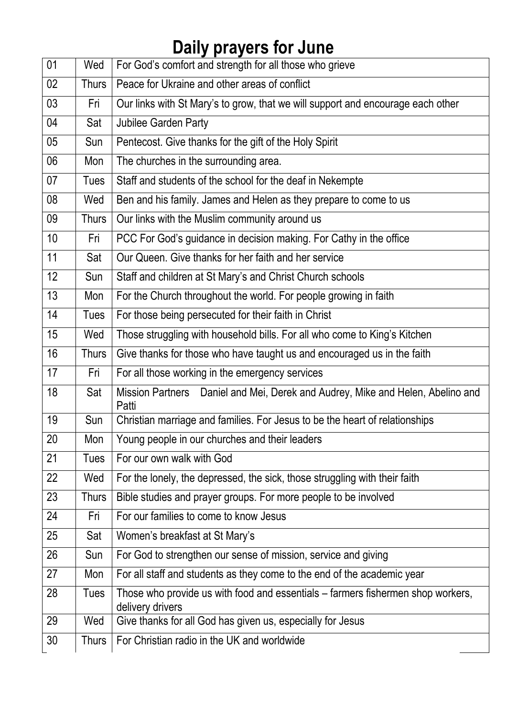# **Daily prayers for June**

| 01              | Wed          | For God's comfort and strength for all those who grieve                                             |
|-----------------|--------------|-----------------------------------------------------------------------------------------------------|
| 02 <sub>2</sub> | <b>Thurs</b> | Peace for Ukraine and other areas of conflict                                                       |
| 03 <sub>2</sub> | Fri          | Our links with St Mary's to grow, that we will support and encourage each other                     |
| 04              | Sat          | Jubilee Garden Party                                                                                |
| 05              | Sun          | Pentecost. Give thanks for the gift of the Holy Spirit                                              |
| 06              | Mon          | The churches in the surrounding area.                                                               |
| 07              | <b>Tues</b>  | Staff and students of the school for the deaf in Nekempte                                           |
| 08              | Wed          | Ben and his family. James and Helen as they prepare to come to us                                   |
| 09              | <b>Thurs</b> | Our links with the Muslim community around us                                                       |
| 10              | Fri          | PCC For God's guidance in decision making. For Cathy in the office                                  |
| 11              | Sat          | Our Queen. Give thanks for her faith and her service                                                |
| 12              | Sun          | Staff and children at St Mary's and Christ Church schools                                           |
| 13              | Mon          | For the Church throughout the world. For people growing in faith                                    |
| 14              | <b>Tues</b>  | For those being persecuted for their faith in Christ                                                |
| 15              | Wed          | Those struggling with household bills. For all who come to King's Kitchen                           |
| 16              | <b>Thurs</b> | Give thanks for those who have taught us and encouraged us in the faith                             |
| 17              | Fri          | For all those working in the emergency services                                                     |
| 18              | Sat          | Mission Partners  Daniel and Mei, Derek and Audrey, Mike and Helen, Abelino and<br>Patti            |
| 19              | Sun          | Christian marriage and families. For Jesus to be the heart of relationships                         |
| 20              |              | Mon   Young people in our churches and their leaders                                                |
| 21              | <b>Tues</b>  | For our own walk with God                                                                           |
| 22              | Wed          | For the lonely, the depressed, the sick, those struggling with their faith                          |
| 23              | <b>Thurs</b> | Bible studies and prayer groups. For more people to be involved                                     |
| 24              | Fri          | For our families to come to know Jesus                                                              |
| 25              | Sat          | Women's breakfast at St Mary's                                                                      |
| 26              | Sun          | For God to strengthen our sense of mission, service and giving                                      |
| 27              | Mon          | For all staff and students as they come to the end of the academic year                             |
| 28              | <b>Tues</b>  | Those who provide us with food and essentials – farmers fishermen shop workers,<br>delivery drivers |
| 29              | Wed          | Give thanks for all God has given us, especially for Jesus                                          |
| 30              | <b>Thurs</b> | For Christian radio in the UK and worldwide                                                         |